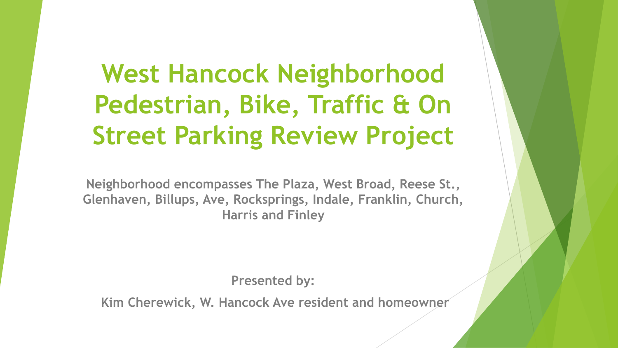# **West Hancock Neighborhood Pedestrian, Bike, Traffic & On Street Parking Review Project**

**Neighborhood encompasses The Plaza, West Broad, Reese St., Glenhaven, Billups, Ave, Rocksprings, Indale, Franklin, Church, Harris and Finley**

**Presented by:**

**Kim Cherewick, W. Hancock Ave resident and homeowner**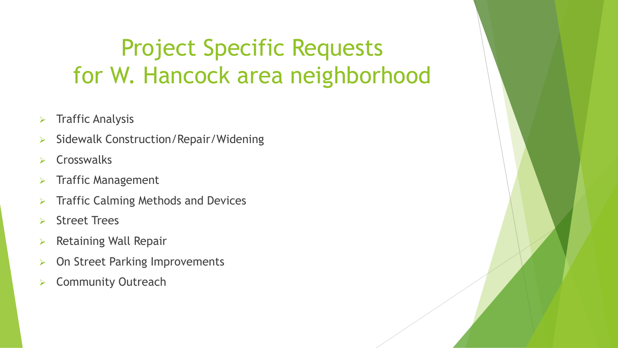# Project Specific Requests for W. Hancock area neighborhood

- $\triangleright$  Traffic Analysis
- Sidewalk Construction/Repair/Widening
- **Crosswalks**
- **Traffic Management**
- Traffic Calming Methods and Devices
- **Street Trees**
- Retaining Wall Repair
- On Street Parking Improvements
- **Community Outreach**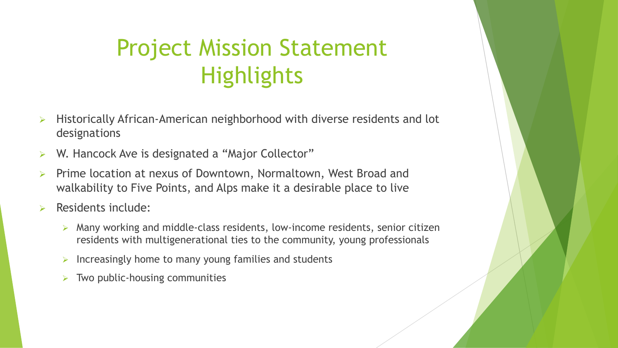# Project Mission Statement **Highlights**

- $\triangleright$  Historically African-American neighborhood with diverse residents and lot designations
- W. Hancock Ave is designated a "Major Collector"
- Prime location at nexus of Downtown, Normaltown, West Broad and walkability to Five Points, and Alps make it a desirable place to live
- Residents include:
	- $\triangleright$  Many working and middle-class residents, low-income residents, senior citizen residents with multigenerational ties to the community, young professionals
	- $\triangleright$  Increasingly home to many young families and students
	- $\triangleright$  Two public-housing communities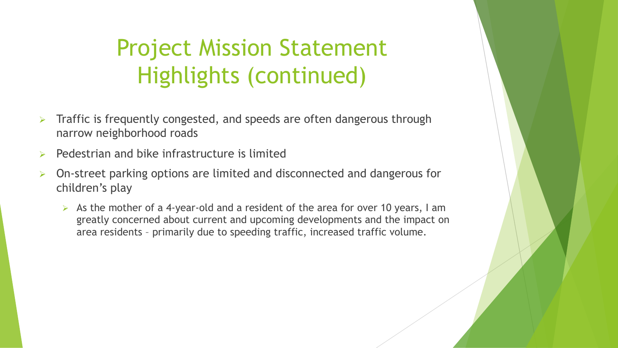# Project Mission Statement Highlights (continued)

- Traffic is frequently congested, and speeds are often dangerous through narrow neighborhood roads
- Pedestrian and bike infrastructure is limited
- On-street parking options are limited and disconnected and dangerous for children's play
	- $\triangleright$  As the mother of a 4-year-old and a resident of the area for over 10 years, I am greatly concerned about current and upcoming developments and the impact on area residents – primarily due to speeding traffic, increased traffic volume.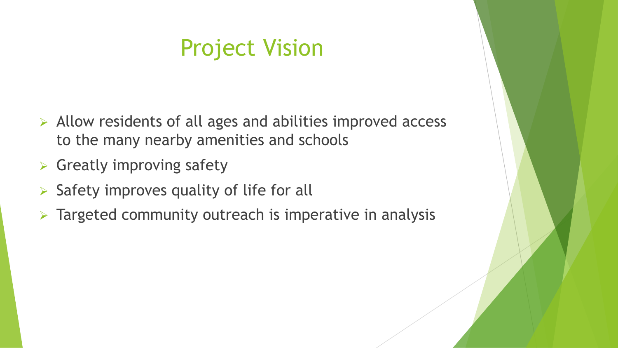## Project Vision

- $\triangleright$  Allow residents of all ages and abilities improved access to the many nearby amenities and schools
- $\triangleright$  Greatly improving safety
- $\triangleright$  Safety improves quality of life for all
- $\triangleright$  Targeted community outreach is imperative in analysis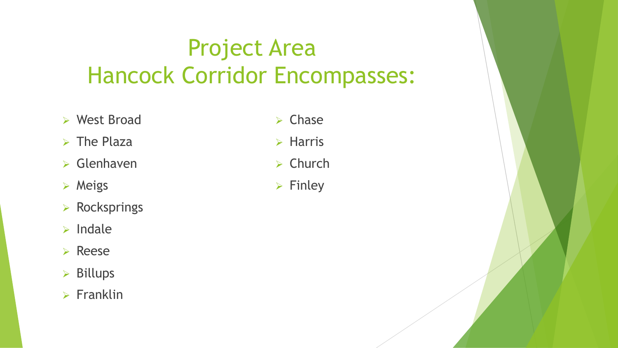# Project Area Hancock Corridor Encompasses:

- $\triangleright$  West Broad
- $\triangleright$  The Plaza
- $\triangleright$  Glenhaven
- $\triangleright$  Meigs
- $\triangleright$  Rocksprings
- $\triangleright$  Indale
- $\triangleright$  Reese
- $\triangleright$  Billups
- $\triangleright$  Franklin
- $\triangleright$  Chase
- $\triangleright$  Harris
- $\triangleright$  Church
- $\triangleright$  Finley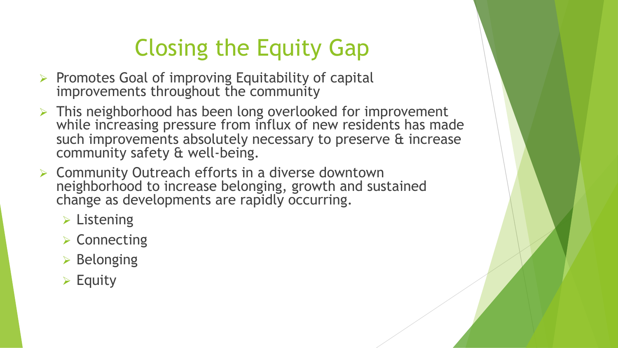# Closing the Equity Gap

- $\triangleright$  Promotes Goal of improving Equitability of capital improvements throughout the community
- $\triangleright$  This neighborhood has been long overlooked for improvement while increasing pressure from influx of new residents has made such improvements absolutely necessary to preserve & increase community safety & well-being.
- $\triangleright$  Community Outreach efforts in a diverse downtown neighborhood to increase belonging, growth and sustained change as developments are rapidly occurring.
	- $\triangleright$  Listening
	- $\triangleright$  Connecting
	- $\triangleright$  Belonging
	- $\triangleright$  Equity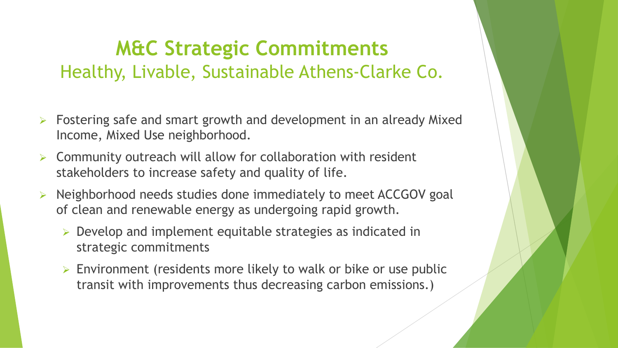### **M&C Strategic Commitments** Healthy, Livable, Sustainable Athens-Clarke Co.

- Fostering safe and smart growth and development in an already Mixed Income, Mixed Use neighborhood.
- Community outreach will allow for collaboration with resident stakeholders to increase safety and quality of life.
- Ø Neighborhood needs studies done immediately to meet ACCGOV goal of clean and renewable energy as undergoing rapid growth.
	- $\triangleright$  Develop and implement equitable strategies as indicated in strategic commitments
	- $\triangleright$  Environment (residents more likely to walk or bike or use public transit with improvements thus decreasing carbon emissions.)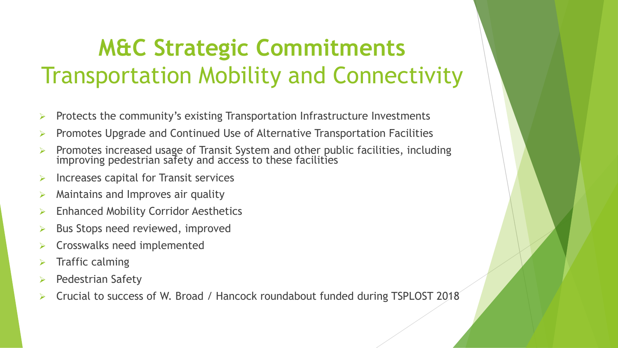# **M&C Strategic Commitments** Transportation Mobility and Connectivity

- Protects the community's existing Transportation Infrastructure Investments
- Ø Promotes Upgrade and Continued Use of Alternative Transportation Facilities
- $\triangleright$  Promotes increased usage of Transit System and other public facilities, including improving pedestrian safety and access to these facilities
- Ø Increases capital for Transit services
- Maintains and Improves air quality
- **Enhanced Mobility Corridor Aesthetics**
- Bus Stops need reviewed, improved
- Ø Crosswalks need implemented
- Traffic calming
- Pedestrian Safety
- Ø Crucial to success of W. Broad / Hancock roundabout funded during TSPLOST 2018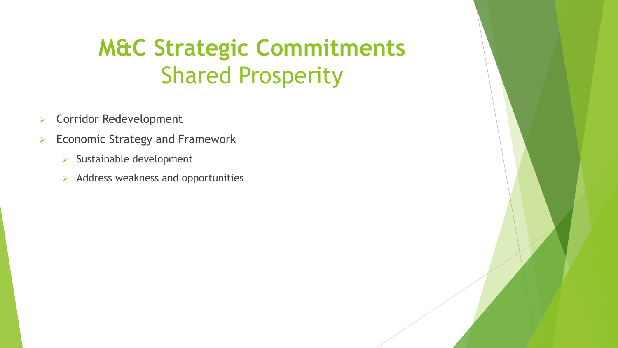# **M&C Strategic Commitments** Shared Prosperity

- $\triangleright$  Corridor Redevelopment
- $\triangleright$  Economic Strategy and Framework
	- $\triangleright$  Sustainable development
	- $\triangleright$  Address weakness and opportunities